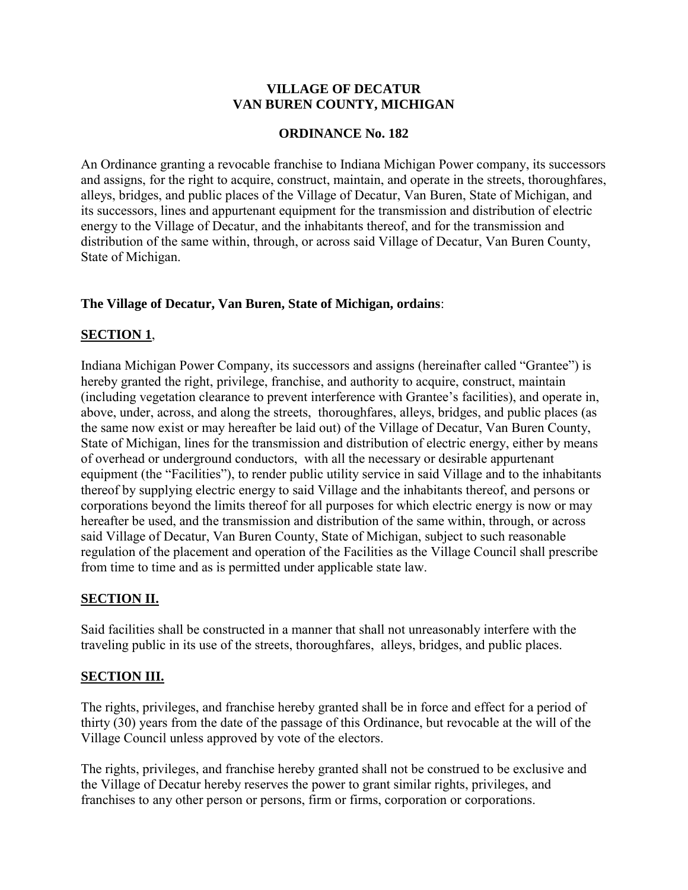## **VILLAGE OF DECATUR VAN BUREN COUNTY, MICHIGAN**

### **ORDINANCE No. 182**

An Ordinance granting a revocable franchise to Indiana Michigan Power company, its successors and assigns, for the right to acquire, construct, maintain, and operate in the streets, thoroughfares, alleys, bridges, and public places of the Village of Decatur, Van Buren, State of Michigan, and its successors, lines and appurtenant equipment for the transmission and distribution of electric energy to the Village of Decatur, and the inhabitants thereof, and for the transmission and distribution of the same within, through, or across said Village of Decatur, Van Buren County, State of Michigan.

## **The Village of Decatur, Van Buren, State of Michigan, ordains**:

# **SECTION 1**,

Indiana Michigan Power Company, its successors and assigns (hereinafter called "Grantee") is hereby granted the right, privilege, franchise, and authority to acquire, construct, maintain (including vegetation clearance to prevent interference with Grantee's facilities), and operate in, above, under, across, and along the streets, thoroughfares, alleys, bridges, and public places (as the same now exist or may hereafter be laid out) of the Village of Decatur, Van Buren County, State of Michigan, lines for the transmission and distribution of electric energy, either by means of overhead or underground conductors, with all the necessary or desirable appurtenant equipment (the "Facilities"), to render public utility service in said Village and to the inhabitants thereof by supplying electric energy to said Village and the inhabitants thereof, and persons or corporations beyond the limits thereof for all purposes for which electric energy is now or may hereafter be used, and the transmission and distribution of the same within, through, or across said Village of Decatur, Van Buren County, State of Michigan, subject to such reasonable regulation of the placement and operation of the Facilities as the Village Council shall prescribe from time to time and as is permitted under applicable state law.

# **SECTION II.**

Said facilities shall be constructed in a manner that shall not unreasonably interfere with the traveling public in its use of the streets, thoroughfares, alleys, bridges, and public places.

# **SECTION III.**

The rights, privileges, and franchise hereby granted shall be in force and effect for a period of thirty (30) years from the date of the passage of this Ordinance, but revocable at the will of the Village Council unless approved by vote of the electors.

The rights, privileges, and franchise hereby granted shall not be construed to be exclusive and the Village of Decatur hereby reserves the power to grant similar rights, privileges, and franchises to any other person or persons, firm or firms, corporation or corporations.